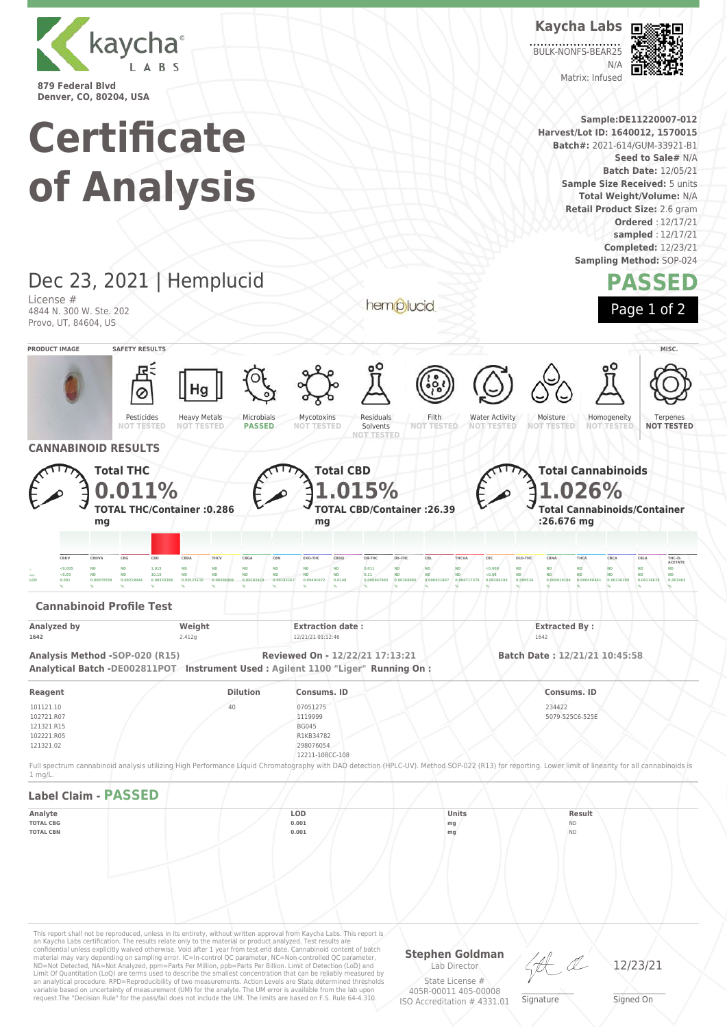

# **Certificate of Analysis**

### Dec 23, 2021 | Hemplucid License # 4844 N. 300 W. Ste. 202 Provo, UT, 84604, US **PRODUCT IMAGE SAFETY RESULTS MISC.**

Pesticides **NOT TESTED** Heavy Metals **NOT TESTED** Microbials **PASSED** Mycotoxins **NOT TESTED** Residuals Solvents **NOT TESTED** Filth **NOT TESTED** Water Activity **NOT TESTED** Moisture **NOT TESTED** Homogeneity **NOT** Terpenes **NOT TESTED CANNABINOID RESULTS Total THC 0.011% TOTAL THC/Container :0.286 mg Total CBD 1.015% TOTAL CBD/Container :26.39 mg Total Cannabinoids 1.026% Total Cannabinoids/Container :26.676 mg** CBDV CBDVA CBG CBD CBDA THCV CBGA CBN EXO-THC CBDQ D9-THC D8-THC CBL THCVA CBC D10-THC CBNA THCA CBCA CBLA THC-O **ACETATE**  $_{\rm N}$  <0.005 ND ND 1.015 ND ND ND ND ND ND 0.011 ND ND ND <0.008 ND ND ND ND ND ND ND <sub>====</sub> <0.05 ND ND 10.15 ND ND ND ND ND ND ND 0.11 ND ND ND <0.08 ND ND ND ND ND ND  $\,$  0.001  $\,$  0.00070559 0.00219044 0.00333396 0.00125116 0.00205806 0.00192419 0.00183167 0.00401072 0.0148 0.000847945 0.000847945 0.000921807 0.0009717378 0.00268194 0.0005344 0.000910194 0.000458461 0.0021199 0.0014 **% % % % % % % % % % % % % % % % % % % % % Cannabinoid Profile Test Analyzed by Weight Extraction date : Extraction date : Extracted By : Extracted By : Extracted By** : **1642** 2.412g 2.412g 12/21/21 01:12:46 1642 **Analysis Method -SOP-020 (R15) Reviewed On - 12/22/21 17:13:21 Batch Date : 12/21/21 10:45:58 Analytical Batch -DE002811POT Instrument Used : Agilent 1100 "Liger" Running On : Reagent Dilution Consums. ID Consums. ID**

This report shall not be reproduced, unless in its entirety, without written approval from Kaycha Labs. This report is<br>an Kaycha Labs certification. The results relate only to the material or product analyzed. Test results 101121.10 102721.R07 121321.R15 102221.R05 121321.02 40 07051275 1119999 BG045 R1KB34782 298076054 12211-108CC-108 234427 5079-525C6-525E Full spectrum cannabinoid analysis utilizing High Performance Liquid Chromatography with DAD detection (HPLC-UV). Method SOP-022 (R13) for reporting. Lower limit of linearity for all cannabinoids is 1 mg/L. **Label Claim - PASSED Analyte LOD Units Result TOTAL CBG 0.001 mg** ND **TOTAL CBN 0.001 mg** ND

material may vary depending on sampling error. IC=In-control QC parameter, NC=Non-controlled QC parameter,<br>ND=Not Detected, NA=Not Analyzed, ppm=Parts Per Million, ppb=Parts Per Billion. Limit of Detection (LoD) and<br>Limit an analytical procedure. RPD=Reproducibility of two measurements. Action Levels are State determined thresholds variable based on uncertainty of measurement (UM) for the analyte. The UM error is available from the lab upon request.The "Decision Rule" for the pass/fail does not include the UM. The limits are based on F.S. Rule 64-4.310.

**Stephen Goldman** Lab Director

12/23/21

State License # 405R-00011 405-00008 ISO Accreditation # 4331.01  $\_\_\_\_\_\_\_\_\_\_\_\_\_\_$ **Signature** 

Signed On

**Kaycha Labs** BULK-NONFS-BEAR25  $N/L$ 

**Sample:DE11220007-012 Harvest/Lot ID: 1640012, 1570015 Batch#:** 2021-614/GUM-33921-B1

Matrix: Infused



**Seed to Sale#** N/A **Batch Date:** 12/05/21 **Sample Size Received: 5 units Total Weight/Volume:** N/A **Retail Product Size:** 2.6 gram

**Ordered** : 12/17/21 **sampled** : 12/17/21 **Completed:** 12/23/21 **Sampling Method:** SOP-024

**PASSED**

Page 1 of 2

hemplucid